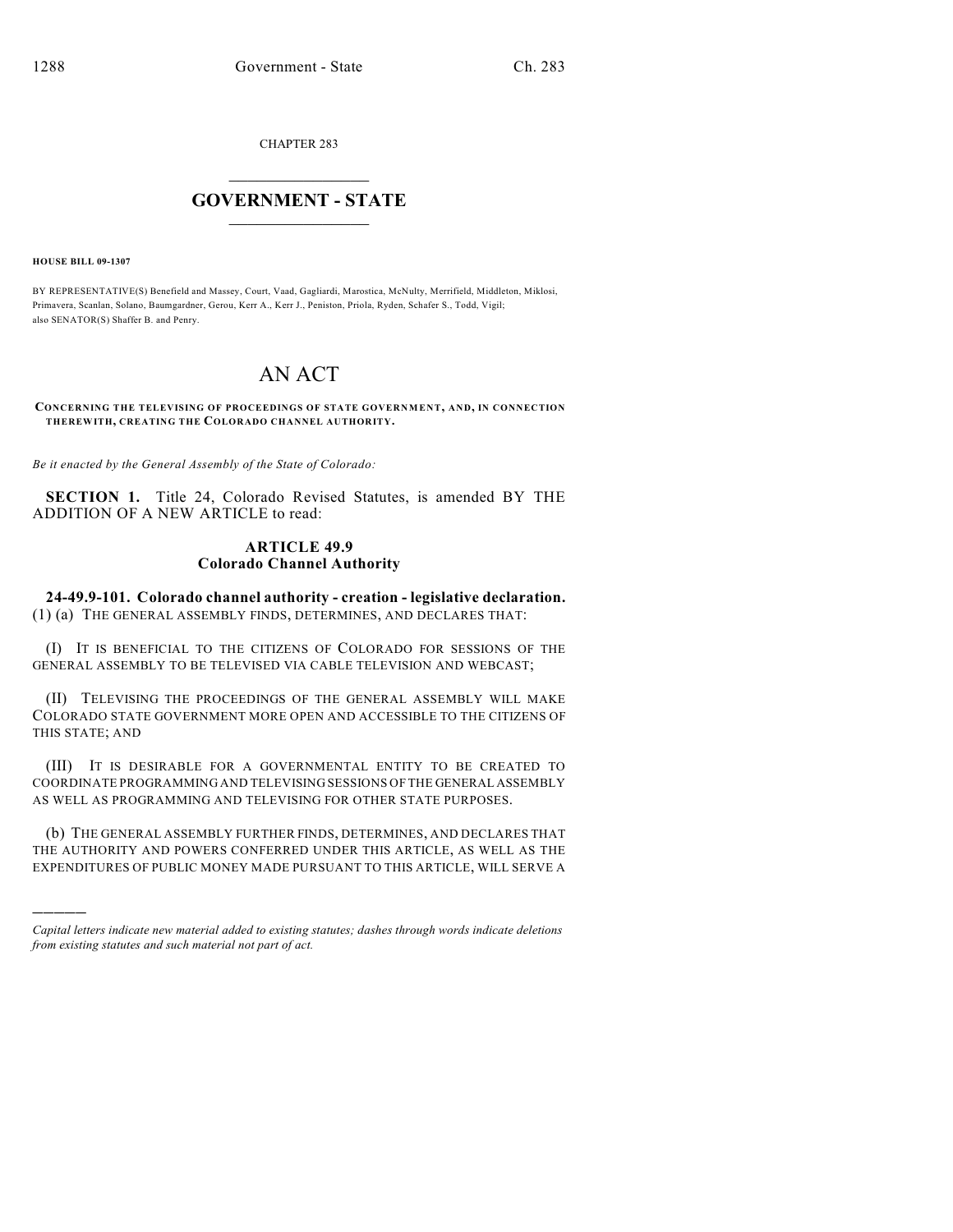CHAPTER 283

## $\mathcal{L}_\text{max}$  . The set of the set of the set of the set of the set of the set of the set of the set of the set of the set of the set of the set of the set of the set of the set of the set of the set of the set of the set **GOVERNMENT - STATE**  $\_$   $\_$   $\_$   $\_$   $\_$   $\_$   $\_$   $\_$

**HOUSE BILL 09-1307**

)))))

BY REPRESENTATIVE(S) Benefield and Massey, Court, Vaad, Gagliardi, Marostica, McNulty, Merrifield, Middleton, Miklosi, Primavera, Scanlan, Solano, Baumgardner, Gerou, Kerr A., Kerr J., Peniston, Priola, Ryden, Schafer S., Todd, Vigil; also SENATOR(S) Shaffer B. and Penry.

## AN ACT

**CONCERNING THE TELEVISING OF PROCEEDINGS OF STATE GOVERNM ENT, AND, IN CONNECTION THEREWITH, CREATING THE COLORADO CHANNEL AUTHORITY.**

*Be it enacted by the General Assembly of the State of Colorado:*

**SECTION 1.** Title 24, Colorado Revised Statutes, is amended BY THE ADDITION OF A NEW ARTICLE to read:

## **ARTICLE 49.9 Colorado Channel Authority**

**24-49.9-101. Colorado channel authority - creation - legislative declaration.** (1) (a) THE GENERAL ASSEMBLY FINDS, DETERMINES, AND DECLARES THAT:

(I) IT IS BENEFICIAL TO THE CITIZENS OF COLORADO FOR SESSIONS OF THE GENERAL ASSEMBLY TO BE TELEVISED VIA CABLE TELEVISION AND WEBCAST;

(II) TELEVISING THE PROCEEDINGS OF THE GENERAL ASSEMBLY WILL MAKE COLORADO STATE GOVERNMENT MORE OPEN AND ACCESSIBLE TO THE CITIZENS OF THIS STATE; AND

(III) IT IS DESIRABLE FOR A GOVERNMENTAL ENTITY TO BE CREATED TO COORDINATE PROGRAMMING AND TELEVISING SESSIONS OF THE GENERAL ASSEMBLY AS WELL AS PROGRAMMING AND TELEVISING FOR OTHER STATE PURPOSES.

(b) THE GENERAL ASSEMBLY FURTHER FINDS, DETERMINES, AND DECLARES THAT THE AUTHORITY AND POWERS CONFERRED UNDER THIS ARTICLE, AS WELL AS THE EXPENDITURES OF PUBLIC MONEY MADE PURSUANT TO THIS ARTICLE, WILL SERVE A

*Capital letters indicate new material added to existing statutes; dashes through words indicate deletions from existing statutes and such material not part of act.*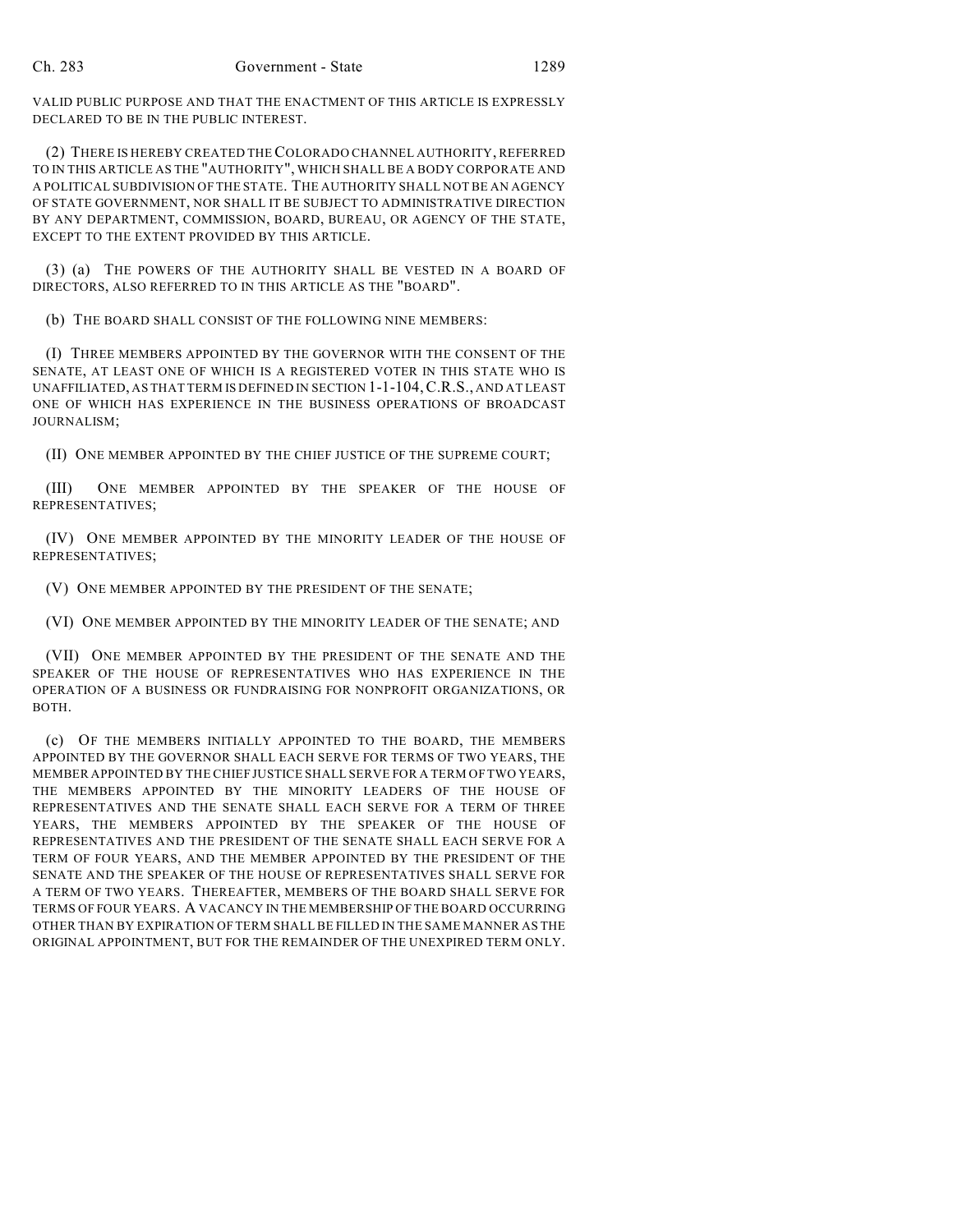VALID PUBLIC PURPOSE AND THAT THE ENACTMENT OF THIS ARTICLE IS EXPRESSLY DECLARED TO BE IN THE PUBLIC INTEREST.

(2) THERE IS HEREBY CREATED THE COLORADO CHANNEL AUTHORITY, REFERRED TO IN THIS ARTICLE AS THE "AUTHORITY", WHICH SHALL BE A BODY CORPORATE AND A POLITICAL SUBDIVISION OF THE STATE. THE AUTHORITY SHALL NOT BE AN AGENCY OF STATE GOVERNMENT, NOR SHALL IT BE SUBJECT TO ADMINISTRATIVE DIRECTION BY ANY DEPARTMENT, COMMISSION, BOARD, BUREAU, OR AGENCY OF THE STATE, EXCEPT TO THE EXTENT PROVIDED BY THIS ARTICLE.

(3) (a) THE POWERS OF THE AUTHORITY SHALL BE VESTED IN A BOARD OF DIRECTORS, ALSO REFERRED TO IN THIS ARTICLE AS THE "BOARD".

(b) THE BOARD SHALL CONSIST OF THE FOLLOWING NINE MEMBERS:

(I) THREE MEMBERS APPOINTED BY THE GOVERNOR WITH THE CONSENT OF THE SENATE, AT LEAST ONE OF WHICH IS A REGISTERED VOTER IN THIS STATE WHO IS UNAFFILIATED, AS THAT TERM IS DEFINED IN SECTION 1-1-104,C.R.S., AND AT LEAST ONE OF WHICH HAS EXPERIENCE IN THE BUSINESS OPERATIONS OF BROADCAST JOURNALISM;

(II) ONE MEMBER APPOINTED BY THE CHIEF JUSTICE OF THE SUPREME COURT;

(III) ONE MEMBER APPOINTED BY THE SPEAKER OF THE HOUSE OF REPRESENTATIVES;

(IV) ONE MEMBER APPOINTED BY THE MINORITY LEADER OF THE HOUSE OF REPRESENTATIVES;

(V) ONE MEMBER APPOINTED BY THE PRESIDENT OF THE SENATE;

(VI) ONE MEMBER APPOINTED BY THE MINORITY LEADER OF THE SENATE; AND

(VII) ONE MEMBER APPOINTED BY THE PRESIDENT OF THE SENATE AND THE SPEAKER OF THE HOUSE OF REPRESENTATIVES WHO HAS EXPERIENCE IN THE OPERATION OF A BUSINESS OR FUNDRAISING FOR NONPROFIT ORGANIZATIONS, OR BOTH.

(c) OF THE MEMBERS INITIALLY APPOINTED TO THE BOARD, THE MEMBERS APPOINTED BY THE GOVERNOR SHALL EACH SERVE FOR TERMS OF TWO YEARS, THE MEMBER APPOINTED BY THE CHIEF JUSTICE SHALL SERVE FOR A TERM OF TWO YEARS, THE MEMBERS APPOINTED BY THE MINORITY LEADERS OF THE HOUSE OF REPRESENTATIVES AND THE SENATE SHALL EACH SERVE FOR A TERM OF THREE YEARS, THE MEMBERS APPOINTED BY THE SPEAKER OF THE HOUSE OF REPRESENTATIVES AND THE PRESIDENT OF THE SENATE SHALL EACH SERVE FOR A TERM OF FOUR YEARS, AND THE MEMBER APPOINTED BY THE PRESIDENT OF THE SENATE AND THE SPEAKER OF THE HOUSE OF REPRESENTATIVES SHALL SERVE FOR A TERM OF TWO YEARS. THEREAFTER, MEMBERS OF THE BOARD SHALL SERVE FOR TERMS OF FOUR YEARS. A VACANCY IN THE MEMBERSHIP OFTHE BOARD OCCURRING OTHER THAN BY EXPIRATION OF TERM SHALL BE FILLED IN THE SAME MANNER AS THE ORIGINAL APPOINTMENT, BUT FOR THE REMAINDER OF THE UNEXPIRED TERM ONLY.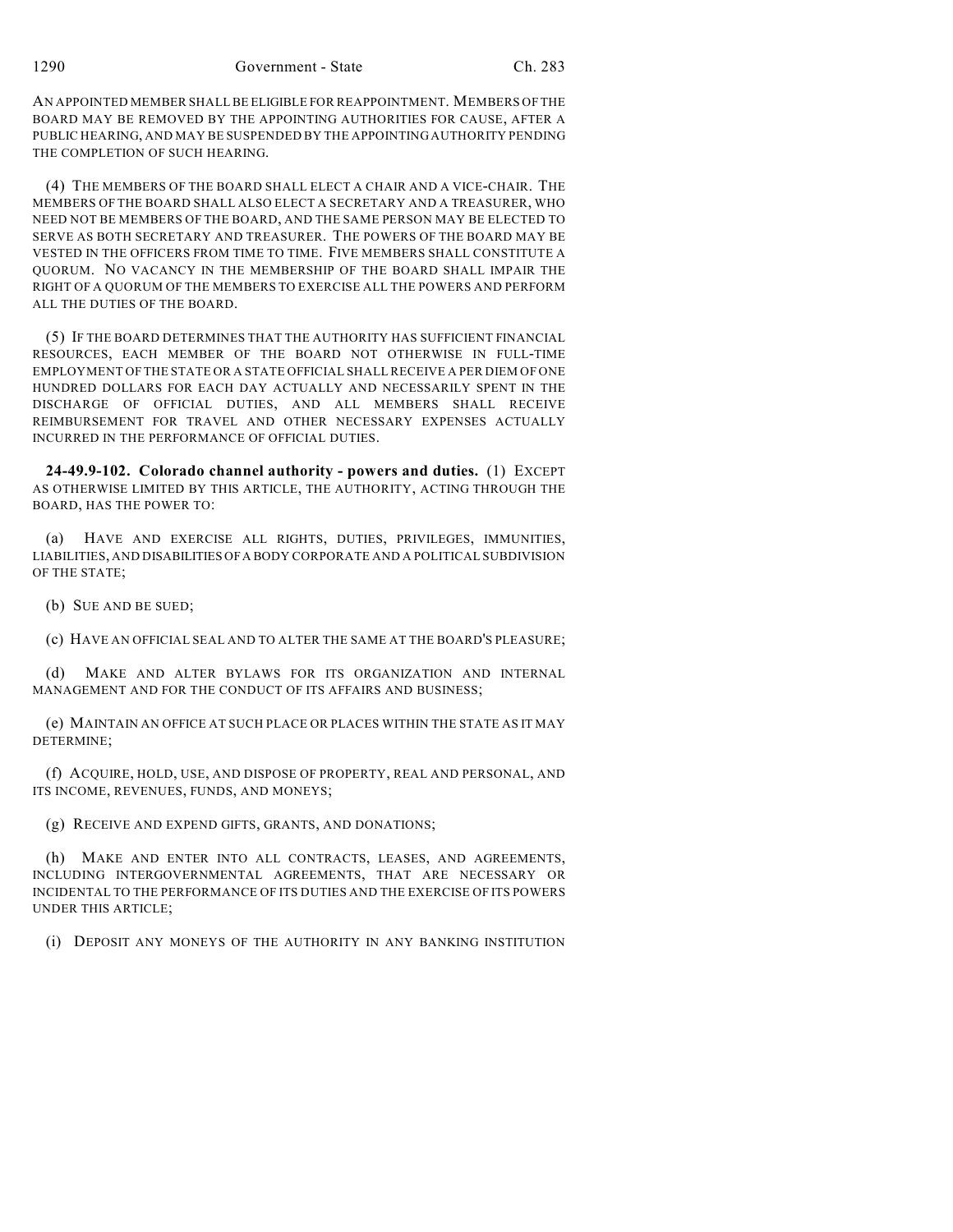AN APPOINTED MEMBER SHALL BE ELIGIBLE FOR REAPPOINTMENT. MEMBERS OF THE BOARD MAY BE REMOVED BY THE APPOINTING AUTHORITIES FOR CAUSE, AFTER A PUBLIC HEARING, AND MAY BE SUSPENDED BY THE APPOINTING AUTHORITY PENDING THE COMPLETION OF SUCH HEARING.

(4) THE MEMBERS OF THE BOARD SHALL ELECT A CHAIR AND A VICE-CHAIR. THE MEMBERS OF THE BOARD SHALL ALSO ELECT A SECRETARY AND A TREASURER, WHO NEED NOT BE MEMBERS OF THE BOARD, AND THE SAME PERSON MAY BE ELECTED TO SERVE AS BOTH SECRETARY AND TREASURER. THE POWERS OF THE BOARD MAY BE VESTED IN THE OFFICERS FROM TIME TO TIME. FIVE MEMBERS SHALL CONSTITUTE A QUORUM. NO VACANCY IN THE MEMBERSHIP OF THE BOARD SHALL IMPAIR THE RIGHT OF A QUORUM OF THE MEMBERS TO EXERCISE ALL THE POWERS AND PERFORM ALL THE DUTIES OF THE BOARD.

(5) IF THE BOARD DETERMINES THAT THE AUTHORITY HAS SUFFICIENT FINANCIAL RESOURCES, EACH MEMBER OF THE BOARD NOT OTHERWISE IN FULL-TIME EMPLOYMENT OFTHE STATE OR A STATE OFFICIAL SHALL RECEIVE A PER DIEM OF ONE HUNDRED DOLLARS FOR EACH DAY ACTUALLY AND NECESSARILY SPENT IN THE DISCHARGE OF OFFICIAL DUTIES, AND ALL MEMBERS SHALL RECEIVE REIMBURSEMENT FOR TRAVEL AND OTHER NECESSARY EXPENSES ACTUALLY INCURRED IN THE PERFORMANCE OF OFFICIAL DUTIES.

**24-49.9-102. Colorado channel authority - powers and duties.** (1) EXCEPT AS OTHERWISE LIMITED BY THIS ARTICLE, THE AUTHORITY, ACTING THROUGH THE BOARD, HAS THE POWER TO:

(a) HAVE AND EXERCISE ALL RIGHTS, DUTIES, PRIVILEGES, IMMUNITIES, LIABILITIES, AND DISABILITIES OF A BODY CORPORATE AND A POLITICAL SUBDIVISION OF THE STATE;

(b) SUE AND BE SUED;

(c) HAVE AN OFFICIAL SEAL AND TO ALTER THE SAME AT THE BOARD'S PLEASURE;

(d) MAKE AND ALTER BYLAWS FOR ITS ORGANIZATION AND INTERNAL MANAGEMENT AND FOR THE CONDUCT OF ITS AFFAIRS AND BUSINESS;

(e) MAINTAIN AN OFFICE AT SUCH PLACE OR PLACES WITHIN THE STATE AS IT MAY DETERMINE;

(f) ACQUIRE, HOLD, USE, AND DISPOSE OF PROPERTY, REAL AND PERSONAL, AND ITS INCOME, REVENUES, FUNDS, AND MONEYS;

(g) RECEIVE AND EXPEND GIFTS, GRANTS, AND DONATIONS;

(h) MAKE AND ENTER INTO ALL CONTRACTS, LEASES, AND AGREEMENTS, INCLUDING INTERGOVERNMENTAL AGREEMENTS, THAT ARE NECESSARY OR INCIDENTAL TO THE PERFORMANCE OF ITS DUTIES AND THE EXERCISE OF ITS POWERS UNDER THIS ARTICLE;

(i) DEPOSIT ANY MONEYS OF THE AUTHORITY IN ANY BANKING INSTITUTION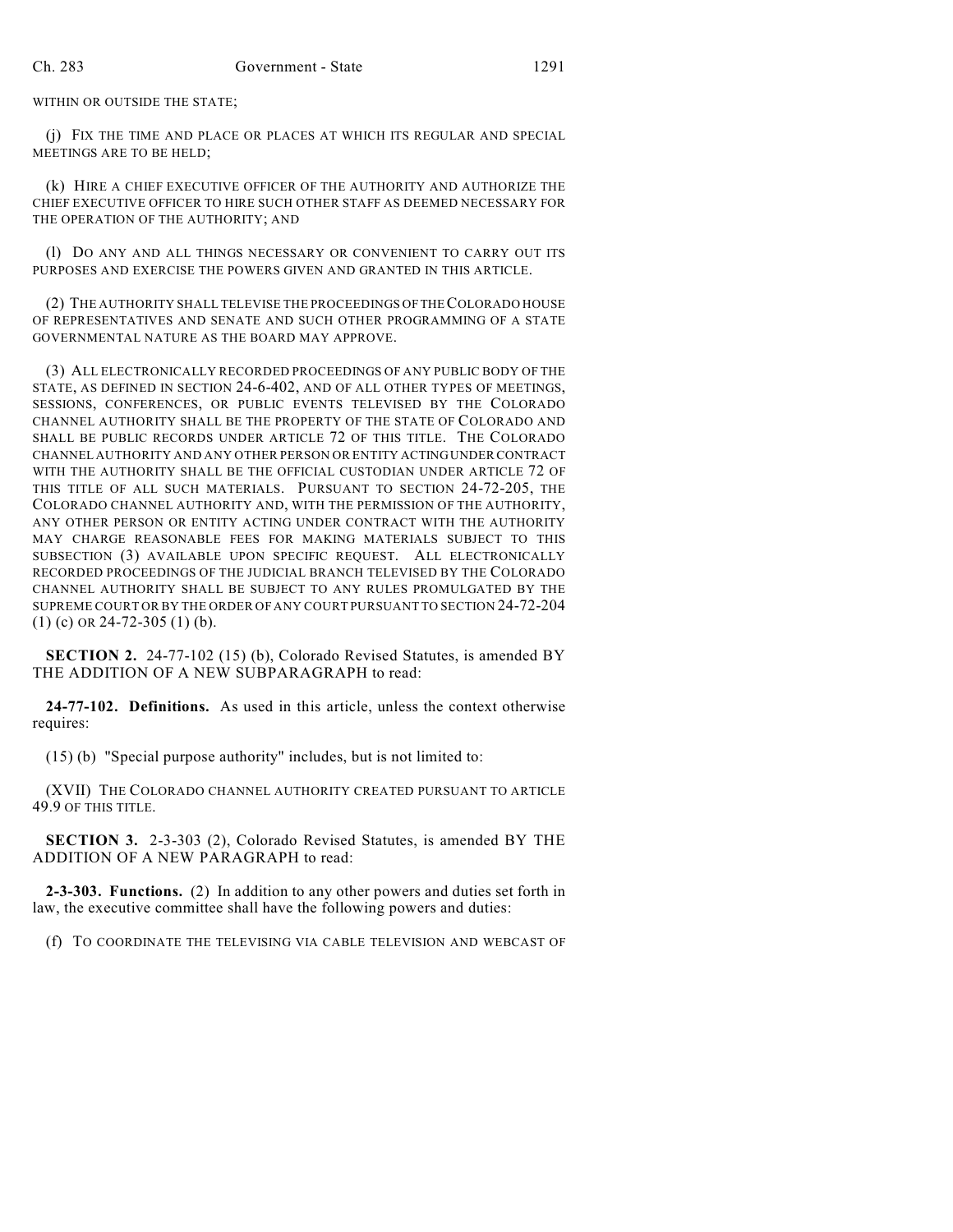WITHIN OR OUTSIDE THE STATE;

(j) FIX THE TIME AND PLACE OR PLACES AT WHICH ITS REGULAR AND SPECIAL MEETINGS ARE TO BE HELD;

(k) HIRE A CHIEF EXECUTIVE OFFICER OF THE AUTHORITY AND AUTHORIZE THE CHIEF EXECUTIVE OFFICER TO HIRE SUCH OTHER STAFF AS DEEMED NECESSARY FOR THE OPERATION OF THE AUTHORITY; AND

(l) DO ANY AND ALL THINGS NECESSARY OR CONVENIENT TO CARRY OUT ITS PURPOSES AND EXERCISE THE POWERS GIVEN AND GRANTED IN THIS ARTICLE.

(2) THE AUTHORITY SHALL TELEVISE THE PROCEEDINGS OF THE COLORADO HOUSE OF REPRESENTATIVES AND SENATE AND SUCH OTHER PROGRAMMING OF A STATE GOVERNMENTAL NATURE AS THE BOARD MAY APPROVE.

(3) ALL ELECTRONICALLY RECORDED PROCEEDINGS OF ANY PUBLIC BODY OF THE STATE, AS DEFINED IN SECTION 24-6-402, AND OF ALL OTHER TYPES OF MEETINGS, SESSIONS, CONFERENCES, OR PUBLIC EVENTS TELEVISED BY THE COLORADO CHANNEL AUTHORITY SHALL BE THE PROPERTY OF THE STATE OF COLORADO AND SHALL BE PUBLIC RECORDS UNDER ARTICLE 72 OF THIS TITLE. THE COLORADO CHANNEL AUTHORITY AND ANY OTHER PERSON OR ENTITY ACTING UNDER CONTRACT WITH THE AUTHORITY SHALL BE THE OFFICIAL CUSTODIAN UNDER ARTICLE 72 OF THIS TITLE OF ALL SUCH MATERIALS. PURSUANT TO SECTION 24-72-205, THE COLORADO CHANNEL AUTHORITY AND, WITH THE PERMISSION OF THE AUTHORITY, ANY OTHER PERSON OR ENTITY ACTING UNDER CONTRACT WITH THE AUTHORITY MAY CHARGE REASONABLE FEES FOR MAKING MATERIALS SUBJECT TO THIS SUBSECTION (3) AVAILABLE UPON SPECIFIC REQUEST. ALL ELECTRONICALLY RECORDED PROCEEDINGS OF THE JUDICIAL BRANCH TELEVISED BY THE COLORADO CHANNEL AUTHORITY SHALL BE SUBJECT TO ANY RULES PROMULGATED BY THE SUPREME COURT OR BY THE ORDER OF ANY COURT PURSUANT TO SECTION 24-72-204 (1) (c) OR 24-72-305 (1) (b).

**SECTION 2.** 24-77-102 (15) (b), Colorado Revised Statutes, is amended BY THE ADDITION OF A NEW SUBPARAGRAPH to read:

**24-77-102. Definitions.** As used in this article, unless the context otherwise requires:

(15) (b) "Special purpose authority" includes, but is not limited to:

(XVII) THE COLORADO CHANNEL AUTHORITY CREATED PURSUANT TO ARTICLE 49.9 OF THIS TITLE.

**SECTION 3.** 2-3-303 (2), Colorado Revised Statutes, is amended BY THE ADDITION OF A NEW PARAGRAPH to read:

**2-3-303. Functions.** (2) In addition to any other powers and duties set forth in law, the executive committee shall have the following powers and duties:

(f) TO COORDINATE THE TELEVISING VIA CABLE TELEVISION AND WEBCAST OF